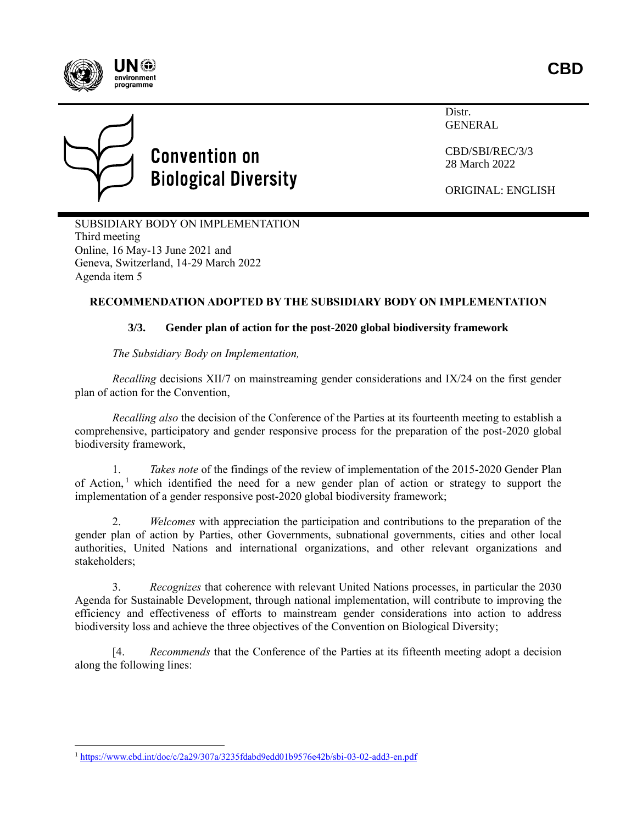



Distr. **GENERAL** 

CBD/SBI/REC/3/3 28 March 2022

ORIGINAL: ENGLISH

SUBSIDIARY BODY ON IMPLEMENTATION Third meeting Online, 16 May-13 June 2021 and Geneva, Switzerland, 14-29 March 2022 Agenda item 5

## **RECOMMENDATION ADOPTED BY THE SUBSIDIARY BODY ON IMPLEMENTATION**

## **3/3. Gender plan of action for the post-2020 global biodiversity framework**

*The Subsidiary Body on Implementation,*

*Recalling* decisions XII/7 on mainstreaming gender considerations and IX/24 on the first gender plan of action for the Convention,

*Recalling also* the decision of the Conference of the Parties at its fourteenth meeting to establish a comprehensive, participatory and gender responsive process for the preparation of the post-2020 global biodiversity framework,

1. *Takes note* of the findings of the review of implementation of the 2015-2020 Gender Plan of Action,<sup>1</sup> which identified the need for a new gender plan of action or strategy to support the implementation of a gender responsive post-2020 global biodiversity framework;

2. *Welcomes* with appreciation the participation and contributions to the preparation of the gender plan of action by Parties, other Governments, subnational governments, cities and other local authorities, United Nations and international organizations, and other relevant organizations and stakeholders;

3. *Recognizes* that coherence with relevant United Nations processes, in particular the 2030 Agenda for Sustainable Development, through national implementation, will contribute to improving the efficiency and effectiveness of efforts to mainstream gender considerations into action to address biodiversity loss and achieve the three objectives of the Convention on Biological Diversity;

[4. *Recommends* that the Conference of the Parties at its fifteenth meeting adopt a decision along the following lines:

<sup>1</sup> <https://www.cbd.int/doc/c/2a29/307a/3235fdabd9edd01b9576e42b/sbi-03-02-add3-en.pdf>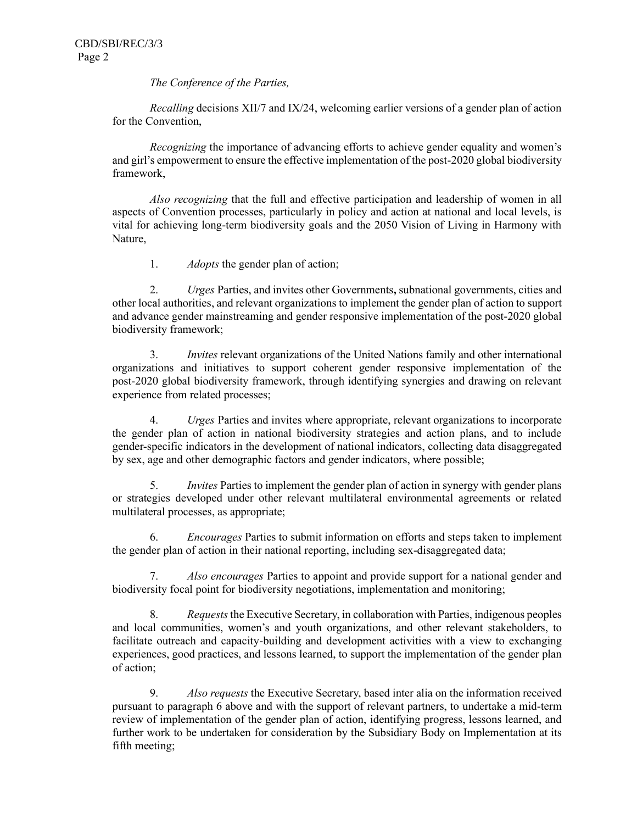*The Conference of the Parties,*

*Recalling* decisions XII/7 and IX/24, welcoming earlier versions of a gender plan of action for the Convention,

*Recognizing* the importance of advancing efforts to achieve gender equality and women's and girl's empowerment to ensure the effective implementation of the post-2020 global biodiversity framework,

*Also recognizing* that the full and effective participation and leadership of women in all aspects of Convention processes, particularly in policy and action at national and local levels, is vital for achieving long-term biodiversity goals and the 2050 Vision of Living in Harmony with Nature,

1. *Adopts* the gender plan of action;

2. *Urges* Parties, and invites other Governments**,** subnational governments, cities and other local authorities, and relevant organizations to implement the gender plan of action to support and advance gender mainstreaming and gender responsive implementation of the post-2020 global biodiversity framework;

3. *Invites* relevant organizations of the United Nations family and other international organizations and initiatives to support coherent gender responsive implementation of the post-2020 global biodiversity framework, through identifying synergies and drawing on relevant experience from related processes;

4. *Urges* Parties and invites where appropriate, relevant organizations to incorporate the gender plan of action in national biodiversity strategies and action plans, and to include gender-specific indicators in the development of national indicators, collecting data disaggregated by sex, age and other demographic factors and gender indicators, where possible;

5. *Invites* Parties to implement the gender plan of action in synergy with gender plans or strategies developed under other relevant multilateral environmental agreements or related multilateral processes, as appropriate;

6. *Encourages* Parties to submit information on efforts and steps taken to implement the gender plan of action in their national reporting, including sex-disaggregated data;

7. *Also encourages* Parties to appoint and provide support for a national gender and biodiversity focal point for biodiversity negotiations, implementation and monitoring;

8. *Requests* the Executive Secretary, in collaboration with Parties, indigenous peoples and local communities, women's and youth organizations, and other relevant stakeholders, to facilitate outreach and capacity-building and development activities with a view to exchanging experiences, good practices, and lessons learned, to support the implementation of the gender plan of action;

9. *Also requests* the Executive Secretary, based inter alia on the information received pursuant to paragraph 6 above and with the support of relevant partners, to undertake a mid-term review of implementation of the gender plan of action, identifying progress, lessons learned, and further work to be undertaken for consideration by the Subsidiary Body on Implementation at its fifth meeting;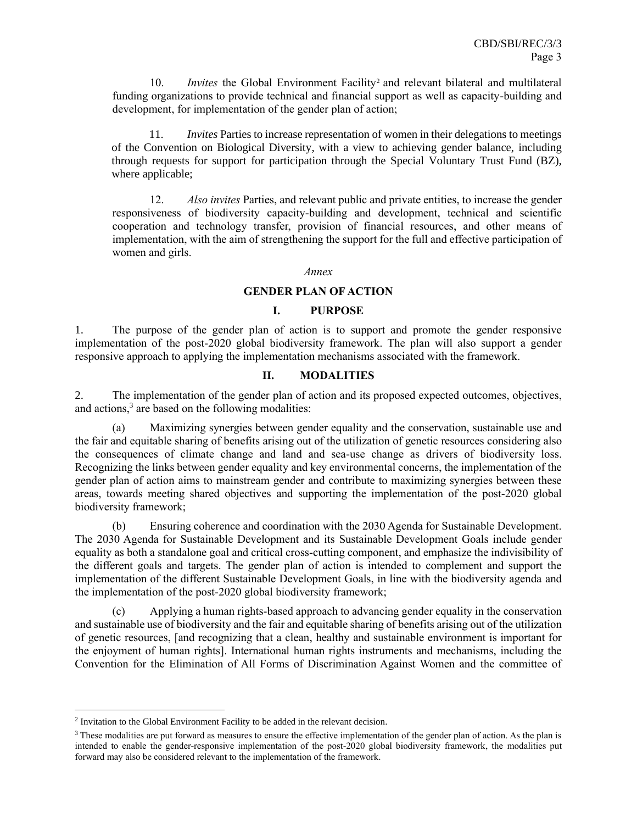10. *Invites* the Global Environment Facility<sup>2</sup> and relevant bilateral and multilateral funding organizations to provide technical and financial support as well as capacity-building and development, for implementation of the gender plan of action;

11. *Invites* Parties to increase representation of women in their delegations to meetings of the Convention on Biological Diversity, with a view to achieving gender balance, including through requests for support for participation through the Special Voluntary Trust Fund (BZ), where applicable;

12. *Also invites* Parties, and relevant public and private entities, to increase the gender responsiveness of biodiversity capacity-building and development, technical and scientific cooperation and technology transfer, provision of financial resources, and other means of implementation, with the aim of strengthening the support for the full and effective participation of women and girls.

#### *Annex*

### **GENDER PLAN OF ACTION**

#### **I. PURPOSE**

1. The purpose of the gender plan of action is to support and promote the gender responsive implementation of the post-2020 global biodiversity framework. The plan will also support a gender responsive approach to applying the implementation mechanisms associated with the framework.

#### **II. MODALITIES**

2. The implementation of the gender plan of action and its proposed expected outcomes, objectives, and actions,<sup>3</sup> are based on the following modalities:

(a) Maximizing synergies between gender equality and the conservation, sustainable use and the fair and equitable sharing of benefits arising out of the utilization of genetic resources considering also the consequences of climate change and land and sea-use change as drivers of biodiversity loss. Recognizing the links between gender equality and key environmental concerns, the implementation of the gender plan of action aims to mainstream gender and contribute to maximizing synergies between these areas, towards meeting shared objectives and supporting the implementation of the post-2020 global biodiversity framework;

(b) Ensuring coherence and coordination with the 2030 Agenda for Sustainable Development. The 2030 Agenda for Sustainable Development and its Sustainable Development Goals include gender equality as both a standalone goal and critical cross-cutting component, and emphasize the indivisibility of the different goals and targets. The gender plan of action is intended to complement and support the implementation of the different Sustainable Development Goals, in line with the biodiversity agenda and the implementation of the post-2020 global biodiversity framework;

(c) Applying a human rights-based approach to advancing gender equality in the conservation and sustainable use of biodiversity and the fair and equitable sharing of benefits arising out of the utilization of genetic resources, [and recognizing that a clean, healthy and sustainable environment is important for the enjoyment of human rights]. International human rights instruments and mechanisms, including the Convention for the Elimination of All Forms of Discrimination Against Women and the committee of

 $2$  Invitation to the Global Environment Facility to be added in the relevant decision.

<sup>&</sup>lt;sup>3</sup> These modalities are put forward as measures to ensure the effective implementation of the gender plan of action. As the plan is intended to enable the gender-responsive implementation of the post-2020 global biodiversity framework, the modalities put forward may also be considered relevant to the implementation of the framework.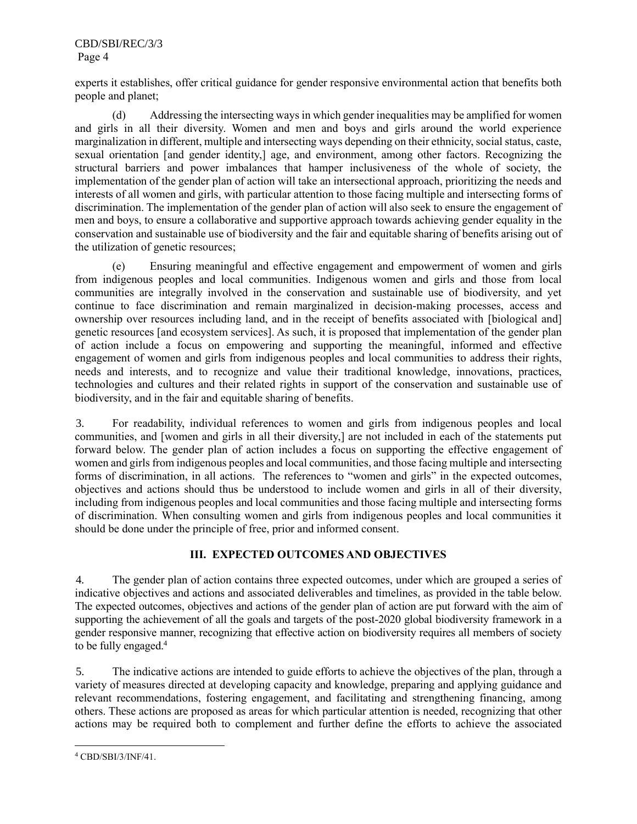CBD/SBI/REC/3/3 Page 4

experts it establishes, offer critical guidance for gender responsive environmental action that benefits both people and planet;

(d) Addressing the intersecting ways in which gender inequalities may be amplified for women and girls in all their diversity. Women and men and boys and girls around the world experience marginalization in different, multiple and intersecting ways depending on their ethnicity, social status, caste, sexual orientation [and gender identity,] age, and environment, among other factors. Recognizing the structural barriers and power imbalances that hamper inclusiveness of the whole of society, the implementation of the gender plan of action will take an intersectional approach, prioritizing the needs and interests of all women and girls, with particular attention to those facing multiple and intersecting forms of discrimination. The implementation of the gender plan of action will also seek to ensure the engagement of men and boys, to ensure a collaborative and supportive approach towards achieving gender equality in the conservation and sustainable use of biodiversity and the fair and equitable sharing of benefits arising out of the utilization of genetic resources;

(e) Ensuring meaningful and effective engagement and empowerment of women and girls from indigenous peoples and local communities. Indigenous women and girls and those from local communities are integrally involved in the conservation and sustainable use of biodiversity, and yet continue to face discrimination and remain marginalized in decision-making processes, access and ownership over resources including land, and in the receipt of benefits associated with [biological and] genetic resources [and ecosystem services]. As such, it is proposed that implementation of the gender plan of action include a focus on empowering and supporting the meaningful, informed and effective engagement of women and girls from indigenous peoples and local communities to address their rights, needs and interests, and to recognize and value their traditional knowledge, innovations, practices, technologies and cultures and their related rights in support of the conservation and sustainable use of biodiversity, and in the fair and equitable sharing of benefits.

3. For readability, individual references to women and girls from indigenous peoples and local communities, and [women and girls in all their diversity,] are not included in each of the statements put forward below. The gender plan of action includes a focus on supporting the effective engagement of women and girls from indigenous peoples and local communities, and those facing multiple and intersecting forms of discrimination, in all actions. The references to "women and girls" in the expected outcomes, objectives and actions should thus be understood to include women and girls in all of their diversity, including from indigenous peoples and local communities and those facing multiple and intersecting forms of discrimination. When consulting women and girls from indigenous peoples and local communities it should be done under the principle of free, prior and informed consent.

### **III. EXPECTED OUTCOMES AND OBJECTIVES**

4. The gender plan of action contains three expected outcomes, under which are grouped a series of indicative objectives and actions and associated deliverables and timelines, as provided in the table below. The expected outcomes, objectives and actions of the gender plan of action are put forward with the aim of supporting the achievement of all the goals and targets of the post-2020 global biodiversity framework in a gender responsive manner, recognizing that effective action on biodiversity requires all members of society to be fully engaged.<sup>4</sup>

5. The indicative actions are intended to guide efforts to achieve the objectives of the plan, through a variety of measures directed at developing capacity and knowledge, preparing and applying guidance and relevant recommendations, fostering engagement, and facilitating and strengthening financing, among others. These actions are proposed as areas for which particular attention is needed, recognizing that other actions may be required both to complement and further define the efforts to achieve the associated

<sup>4</sup> CBD/SBI/3/INF/41.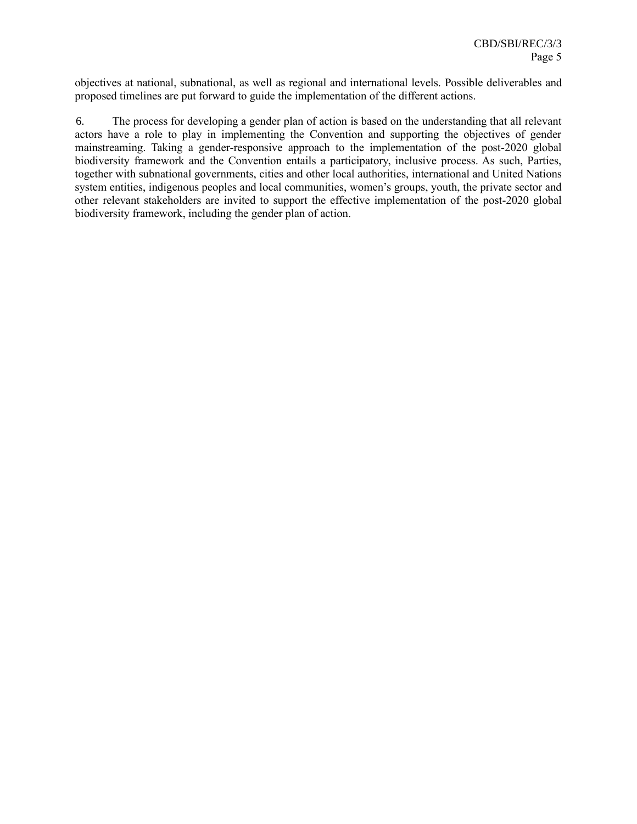objectives at national, subnational, as well as regional and international levels. Possible deliverables and proposed timelines are put forward to guide the implementation of the different actions.

6. The process for developing a gender plan of action is based on the understanding that all relevant actors have a role to play in implementing the Convention and supporting the objectives of gender mainstreaming. Taking a gender-responsive approach to the implementation of the post-2020 global biodiversity framework and the Convention entails a participatory, inclusive process. As such, Parties, together with subnational governments, cities and other local authorities, international and United Nations system entities, indigenous peoples and local communities, women's groups, youth, the private sector and other relevant stakeholders are invited to support the effective implementation of the post-2020 global biodiversity framework, including the gender plan of action.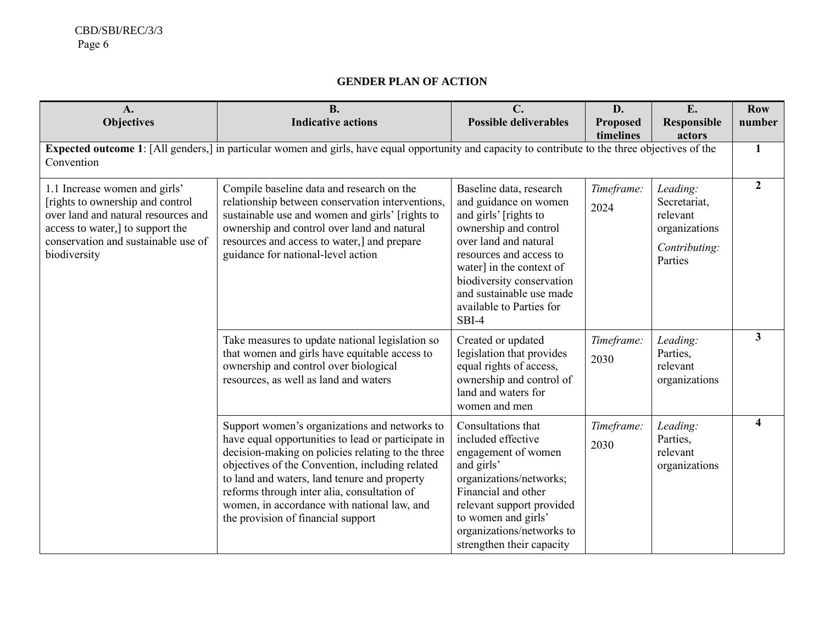# **GENDER PLAN OF ACTION**

| A.<br><b>Objectives</b>                                                                                                                                                                              | <b>B.</b><br><b>Indicative actions</b>                                                                                                                                                                                                                                                                                                                                                          | $C_{\cdot}$<br><b>Possible deliverables</b>                                                                                                                                                                                                                                        | D.<br><b>Proposed</b><br>timelines | E.<br><b>Responsible</b><br>actors                                                | <b>Row</b><br>number |
|------------------------------------------------------------------------------------------------------------------------------------------------------------------------------------------------------|-------------------------------------------------------------------------------------------------------------------------------------------------------------------------------------------------------------------------------------------------------------------------------------------------------------------------------------------------------------------------------------------------|------------------------------------------------------------------------------------------------------------------------------------------------------------------------------------------------------------------------------------------------------------------------------------|------------------------------------|-----------------------------------------------------------------------------------|----------------------|
| Convention                                                                                                                                                                                           | Expected outcome 1: [All genders,] in particular women and girls, have equal opportunity and capacity to contribute to the three objectives of the                                                                                                                                                                                                                                              |                                                                                                                                                                                                                                                                                    |                                    |                                                                                   | 1                    |
| 1.1 Increase women and girls'<br>[rights to ownership and control]<br>over land and natural resources and<br>access to water,] to support the<br>conservation and sustainable use of<br>biodiversity | Compile baseline data and research on the<br>relationship between conservation interventions,<br>sustainable use and women and girls' [rights to<br>ownership and control over land and natural<br>resources and access to water,] and prepare<br>guidance for national-level action                                                                                                            | Baseline data, research<br>and guidance on women<br>and girls' [rights to<br>ownership and control<br>over land and natural<br>resources and access to<br>water] in the context of<br>biodiversity conservation<br>and sustainable use made<br>available to Parties for<br>$SBI-4$ | Timeframe:<br>2024                 | Leading:<br>Secretariat,<br>relevant<br>organizations<br>Contributing:<br>Parties | $\mathbf{2}$         |
|                                                                                                                                                                                                      | Take measures to update national legislation so<br>that women and girls have equitable access to<br>ownership and control over biological<br>resources, as well as land and waters                                                                                                                                                                                                              | Created or updated<br>legislation that provides<br>equal rights of access,<br>ownership and control of<br>land and waters for<br>women and men                                                                                                                                     | Timeframe:<br>2030                 | Leading:<br>Parties,<br>relevant<br>organizations                                 | $\mathbf{3}$         |
|                                                                                                                                                                                                      | Support women's organizations and networks to<br>have equal opportunities to lead or participate in<br>decision-making on policies relating to the three<br>objectives of the Convention, including related<br>to land and waters, land tenure and property<br>reforms through inter alia, consultation of<br>women, in accordance with national law, and<br>the provision of financial support | Consultations that<br>included effective<br>engagement of women<br>and girls'<br>organizations/networks;<br>Financial and other<br>relevant support provided<br>to women and girls'<br>organizations/networks to<br>strengthen their capacity                                      | Timeframe:<br>2030                 | Leading:<br>Parties,<br>relevant<br>organizations                                 |                      |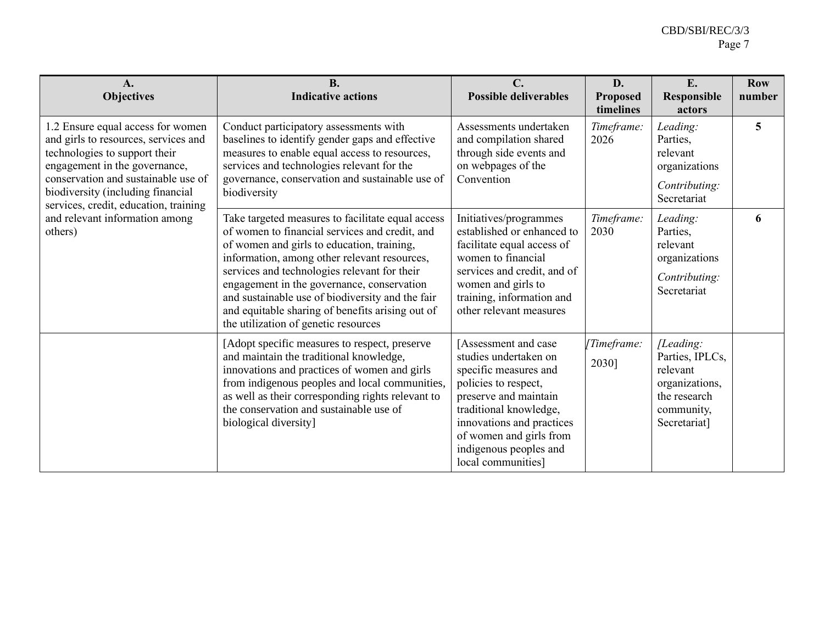| $\mathbf{A}$ .<br><b>Objectives</b>                                                                                                                                                                                                                                                                           | <b>B.</b><br><b>Indicative actions</b>                                                                                                                                                                                                                                                                                                                                                                                                          | $\mathbf{C}$ .<br><b>Possible deliverables</b>                                                                                                                                                                                                           | D.<br><b>Proposed</b><br>timelines | E.<br><b>Responsible</b><br>actors                                                                       | <b>Row</b><br>number |
|---------------------------------------------------------------------------------------------------------------------------------------------------------------------------------------------------------------------------------------------------------------------------------------------------------------|-------------------------------------------------------------------------------------------------------------------------------------------------------------------------------------------------------------------------------------------------------------------------------------------------------------------------------------------------------------------------------------------------------------------------------------------------|----------------------------------------------------------------------------------------------------------------------------------------------------------------------------------------------------------------------------------------------------------|------------------------------------|----------------------------------------------------------------------------------------------------------|----------------------|
| 1.2 Ensure equal access for women<br>and girls to resources, services and<br>technologies to support their<br>engagement in the governance,<br>conservation and sustainable use of<br>biodiversity (including financial<br>services, credit, education, training<br>and relevant information among<br>others) | Conduct participatory assessments with<br>baselines to identify gender gaps and effective<br>measures to enable equal access to resources,<br>services and technologies relevant for the<br>governance, conservation and sustainable use of<br>biodiversity                                                                                                                                                                                     | Assessments undertaken<br>and compilation shared<br>through side events and<br>on webpages of the<br>Convention                                                                                                                                          | Timeframe:<br>2026                 | Leading:<br>Parties,<br>relevant<br>organizations<br>Contributing:<br>Secretariat                        | 5                    |
|                                                                                                                                                                                                                                                                                                               | Take targeted measures to facilitate equal access<br>of women to financial services and credit, and<br>of women and girls to education, training,<br>information, among other relevant resources,<br>services and technologies relevant for their<br>engagement in the governance, conservation<br>and sustainable use of biodiversity and the fair<br>and equitable sharing of benefits arising out of<br>the utilization of genetic resources | Initiatives/programmes<br>established or enhanced to<br>facilitate equal access of<br>women to financial<br>services and credit, and of<br>women and girls to<br>training, information and<br>other relevant measures                                    | Timeframe:<br>2030                 | Leading:<br>Parties,<br>relevant<br>organizations<br>Contributing:<br>Secretariat                        | 6                    |
|                                                                                                                                                                                                                                                                                                               | [Adopt specific measures to respect, preserve<br>and maintain the traditional knowledge,<br>innovations and practices of women and girls<br>from indigenous peoples and local communities,<br>as well as their corresponding rights relevant to<br>the conservation and sustainable use of<br>biological diversity]                                                                                                                             | Assessment and case<br>studies undertaken on<br>specific measures and<br>policies to respect,<br>preserve and maintain<br>traditional knowledge,<br>innovations and practices<br>of women and girls from<br>indigenous peoples and<br>local communities] | [Timeframe:<br>2030]               | [Leading:<br>Parties, IPLCs,<br>relevant<br>organizations,<br>the research<br>community,<br>Secretariat] |                      |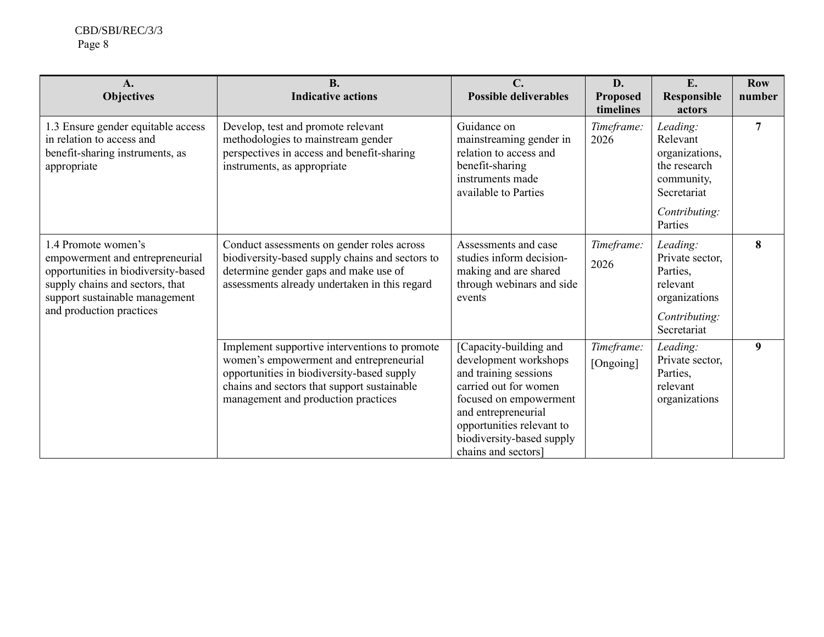| $\mathbf{A}$ .<br><b>Objectives</b>                                                                                                                                                            | <b>B.</b><br><b>Indicative actions</b>                                                                                                                                                                                       | $\mathbf{C}$ .<br><b>Possible deliverables</b>                                                                                                                                                                                      | D.<br><b>Proposed</b><br>timelines | E.<br>Responsible<br>actors                                                                          | <b>Row</b><br>number |
|------------------------------------------------------------------------------------------------------------------------------------------------------------------------------------------------|------------------------------------------------------------------------------------------------------------------------------------------------------------------------------------------------------------------------------|-------------------------------------------------------------------------------------------------------------------------------------------------------------------------------------------------------------------------------------|------------------------------------|------------------------------------------------------------------------------------------------------|----------------------|
| 1.3 Ensure gender equitable access<br>in relation to access and<br>benefit-sharing instruments, as<br>appropriate                                                                              | Develop, test and promote relevant<br>methodologies to mainstream gender<br>perspectives in access and benefit-sharing<br>instruments, as appropriate                                                                        | Guidance on<br>mainstreaming gender in<br>relation to access and<br>benefit-sharing<br>instruments made<br>available to Parties                                                                                                     | Timeframe:<br>2026                 | Leading:<br>Relevant<br>organizations,<br>the research<br>community,<br>Secretariat<br>Contributing: | 7                    |
|                                                                                                                                                                                                |                                                                                                                                                                                                                              |                                                                                                                                                                                                                                     |                                    | Parties                                                                                              |                      |
| 1.4 Promote women's<br>empowerment and entrepreneurial<br>opportunities in biodiversity-based<br>supply chains and sectors, that<br>support sustainable management<br>and production practices | Conduct assessments on gender roles across<br>biodiversity-based supply chains and sectors to<br>determine gender gaps and make use of<br>assessments already undertaken in this regard                                      | Assessments and case<br>studies inform decision-<br>making and are shared<br>through webinars and side<br>events                                                                                                                    | Timeframe:<br>2026                 | Leading:<br>Private sector,<br>Parties,<br>relevant<br>organizations<br>Contributing:<br>Secretariat | 8                    |
|                                                                                                                                                                                                | Implement supportive interventions to promote<br>women's empowerment and entrepreneurial<br>opportunities in biodiversity-based supply<br>chains and sectors that support sustainable<br>management and production practices | [Capacity-building and<br>development workshops<br>and training sessions<br>carried out for women<br>focused on empowerment<br>and entrepreneurial<br>opportunities relevant to<br>biodiversity-based supply<br>chains and sectors] | Timeframe:<br>[Ongoing]            | Leading:<br>Private sector,<br>Parties,<br>relevant<br>organizations                                 | 9                    |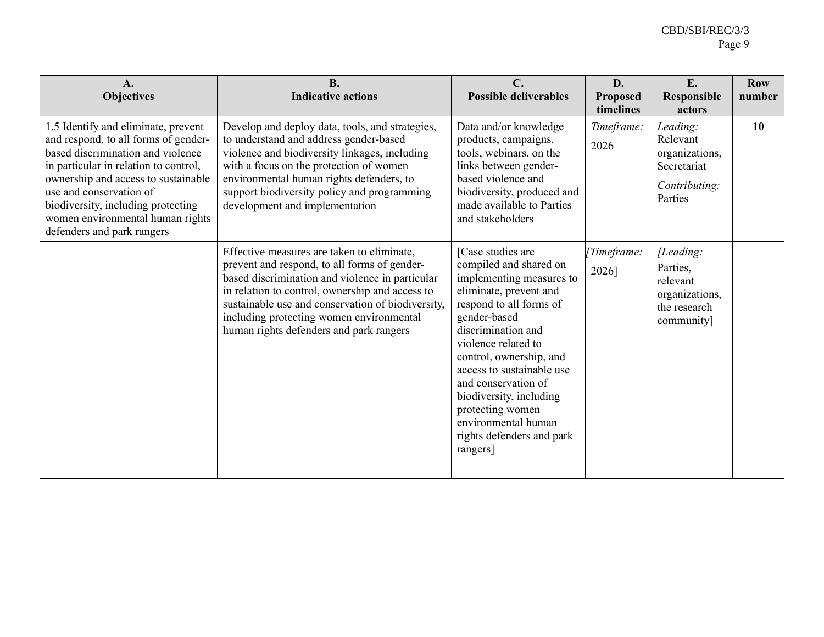| A.<br><b>Objectives</b>                                                                                                                                                                                                                                                                                                             | <b>B.</b><br><b>Indicative actions</b>                                                                                                                                                                                                                                                                                                       | $\mathbf{C}$ .<br><b>Possible deliverables</b>                                                                                                                                                                                                                                                                                                                                          | D.<br><b>Proposed</b><br>timelines | E.<br><b>Responsible</b><br>actors                                                | <b>Row</b><br>number |
|-------------------------------------------------------------------------------------------------------------------------------------------------------------------------------------------------------------------------------------------------------------------------------------------------------------------------------------|----------------------------------------------------------------------------------------------------------------------------------------------------------------------------------------------------------------------------------------------------------------------------------------------------------------------------------------------|-----------------------------------------------------------------------------------------------------------------------------------------------------------------------------------------------------------------------------------------------------------------------------------------------------------------------------------------------------------------------------------------|------------------------------------|-----------------------------------------------------------------------------------|----------------------|
| 1.5 Identify and eliminate, prevent<br>and respond, to all forms of gender-<br>based discrimination and violence<br>in particular in relation to control,<br>ownership and access to sustainable<br>use and conservation of<br>biodiversity, including protecting<br>women environmental human rights<br>defenders and park rangers | Develop and deploy data, tools, and strategies,<br>to understand and address gender-based<br>violence and biodiversity linkages, including<br>with a focus on the protection of women<br>environmental human rights defenders, to<br>support biodiversity policy and programming<br>development and implementation                           | Data and/or knowledge<br>products, campaigns,<br>tools, webinars, on the<br>links between gender-<br>based violence and<br>biodiversity, produced and<br>made available to Parties<br>and stakeholders                                                                                                                                                                                  | Timeframe:<br>2026                 | Leading:<br>Relevant<br>organizations,<br>Secretariat<br>Contributing:<br>Parties | 10                   |
|                                                                                                                                                                                                                                                                                                                                     | Effective measures are taken to eliminate,<br>prevent and respond, to all forms of gender-<br>based discrimination and violence in particular<br>in relation to control, ownership and access to<br>sustainable use and conservation of biodiversity,<br>including protecting women environmental<br>human rights defenders and park rangers | [Case studies are<br>compiled and shared on<br>implementing measures to<br>eliminate, prevent and<br>respond to all forms of<br>gender-based<br>discrimination and<br>violence related to<br>control, ownership, and<br>access to sustainable use<br>and conservation of<br>biodiversity, including<br>protecting women<br>environmental human<br>rights defenders and park<br>rangers] | [Timeframe:<br>2026]               | [Leading:<br>Parties,<br>relevant<br>organizations,<br>the research<br>community] |                      |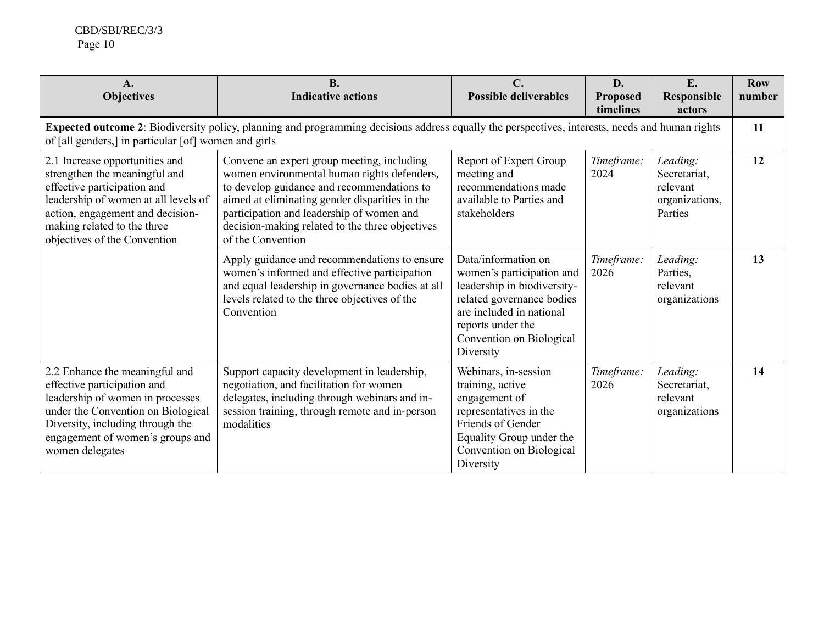CBD/SBI/REC/3/3 Page 10

| $\mathbf{A}$ .<br><b>Objectives</b>                                                                                                                                                                                                       | <b>B.</b><br><b>Indicative actions</b>                                                                                                                                                                                                                                                                         | $\mathbf{C}$ .<br><b>Possible deliverables</b>                                                                                                                                                         | D.<br><b>Proposed</b><br>timelines | E.<br><b>Responsible</b><br>actors                                | <b>Row</b><br>number |
|-------------------------------------------------------------------------------------------------------------------------------------------------------------------------------------------------------------------------------------------|----------------------------------------------------------------------------------------------------------------------------------------------------------------------------------------------------------------------------------------------------------------------------------------------------------------|--------------------------------------------------------------------------------------------------------------------------------------------------------------------------------------------------------|------------------------------------|-------------------------------------------------------------------|----------------------|
| of [all genders,] in particular [of] women and girls                                                                                                                                                                                      | Expected outcome 2: Biodiversity policy, planning and programming decisions address equally the perspectives, interests, needs and human rights                                                                                                                                                                |                                                                                                                                                                                                        |                                    |                                                                   | 11                   |
| 2.1 Increase opportunities and<br>strengthen the meaningful and<br>effective participation and<br>leadership of women at all levels of<br>action, engagement and decision-<br>making related to the three<br>objectives of the Convention | Convene an expert group meeting, including<br>women environmental human rights defenders,<br>to develop guidance and recommendations to<br>aimed at eliminating gender disparities in the<br>participation and leadership of women and<br>decision-making related to the three objectives<br>of the Convention | Report of Expert Group<br>meeting and<br>recommendations made<br>available to Parties and<br>stakeholders                                                                                              | Timeframe:<br>2024                 | Leading:<br>Secretariat,<br>relevant<br>organizations,<br>Parties | 12                   |
|                                                                                                                                                                                                                                           | Apply guidance and recommendations to ensure<br>women's informed and effective participation<br>and equal leadership in governance bodies at all<br>levels related to the three objectives of the<br>Convention                                                                                                | Data/information on<br>women's participation and<br>leadership in biodiversity-<br>related governance bodies<br>are included in national<br>reports under the<br>Convention on Biological<br>Diversity | Timeframe:<br>2026                 | Leading:<br>Parties,<br>relevant<br>organizations                 | 13                   |
| 2.2 Enhance the meaningful and<br>effective participation and<br>leadership of women in processes<br>under the Convention on Biological<br>Diversity, including through the<br>engagement of women's groups and<br>women delegates        | Support capacity development in leadership,<br>negotiation, and facilitation for women<br>delegates, including through webinars and in-<br>session training, through remote and in-person<br>modalities                                                                                                        | Webinars, in-session<br>training, active<br>engagement of<br>representatives in the<br>Friends of Gender<br>Equality Group under the<br>Convention on Biological<br>Diversity                          | Timeframe:<br>2026                 | Leading:<br>Secretariat,<br>relevant<br>organizations             | 14                   |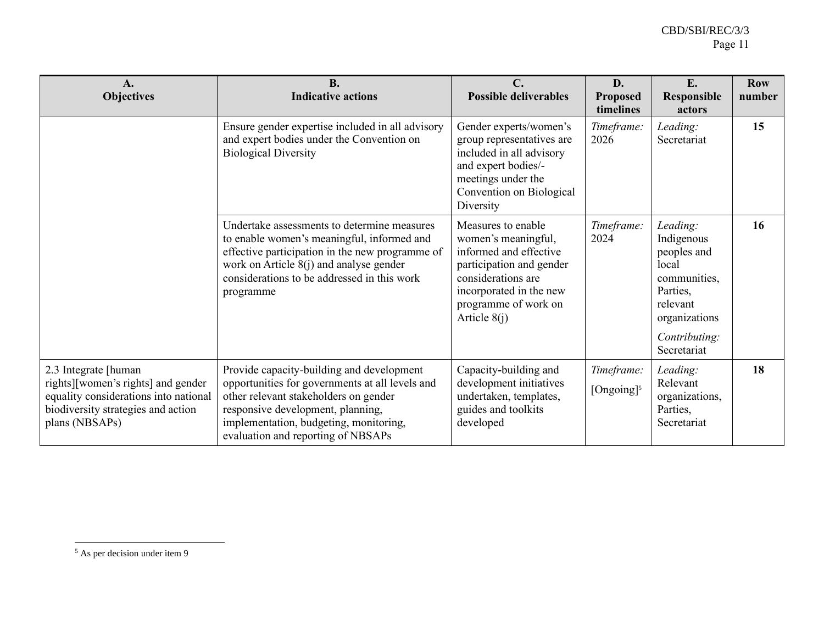| $\mathbf{A}$ .<br><b>Objectives</b>                                                                                                                         | <b>B.</b><br><b>Indicative actions</b>                                                                                                                                                                                                                     | $\mathbf{C}$ .<br><b>Possible deliverables</b>                                                                                                                                             | D.<br>Proposed<br>timelines          | E.<br><b>Responsible</b><br>actors                                                                                                      | <b>Row</b><br>number |
|-------------------------------------------------------------------------------------------------------------------------------------------------------------|------------------------------------------------------------------------------------------------------------------------------------------------------------------------------------------------------------------------------------------------------------|--------------------------------------------------------------------------------------------------------------------------------------------------------------------------------------------|--------------------------------------|-----------------------------------------------------------------------------------------------------------------------------------------|----------------------|
|                                                                                                                                                             | Ensure gender expertise included in all advisory<br>and expert bodies under the Convention on<br><b>Biological Diversity</b>                                                                                                                               | Gender experts/women's<br>group representatives are<br>included in all advisory<br>and expert bodies/-<br>meetings under the<br>Convention on Biological<br>Diversity                      | Timeframe:<br>2026                   | Leading:<br>Secretariat                                                                                                                 | 15                   |
|                                                                                                                                                             | Undertake assessments to determine measures<br>to enable women's meaningful, informed and<br>effective participation in the new programme of<br>work on Article $8(j)$ and analyse gender<br>considerations to be addressed in this work<br>programme      | Measures to enable<br>women's meaningful,<br>informed and effective<br>participation and gender<br>considerations are<br>incorporated in the new<br>programme of work on<br>Article $8(i)$ | Timeframe:<br>2024                   | Leading:<br>Indigenous<br>peoples and<br>local<br>communities,<br>Parties,<br>relevant<br>organizations<br>Contributing:<br>Secretariat | 16                   |
| 2.3 Integrate [human<br>rights][women's rights] and gender<br>equality considerations into national<br>biodiversity strategies and action<br>plans (NBSAPs) | Provide capacity-building and development<br>opportunities for governments at all levels and<br>other relevant stakeholders on gender<br>responsive development, planning,<br>implementation, budgeting, monitoring,<br>evaluation and reporting of NBSAPs | Capacity-building and<br>development initiatives<br>undertaken, templates,<br>guides and toolkits<br>developed                                                                             | Timeframe:<br>[Ongoing] <sup>5</sup> | Leading:<br>Relevant<br>organizations,<br>Parties,<br>Secretariat                                                                       | 18                   |

<sup>5</sup> As per decision under item 9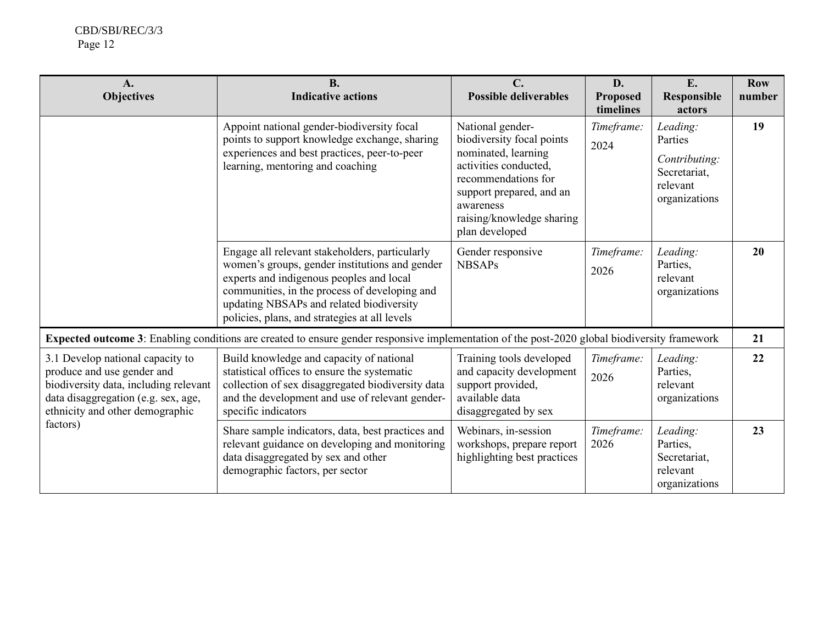| $\mathbf{A}$ .<br><b>Objectives</b>                                                                                                                                                           | <b>B.</b><br><b>Indicative actions</b>                                                                                                                                                                                                                                                     | $\mathbf{C}$ .<br><b>Possible deliverables</b>                                                                                                                                                               | D.<br><b>Proposed</b><br>timelines | E.<br>Responsible<br>actors                                                       | <b>Row</b><br>number |
|-----------------------------------------------------------------------------------------------------------------------------------------------------------------------------------------------|--------------------------------------------------------------------------------------------------------------------------------------------------------------------------------------------------------------------------------------------------------------------------------------------|--------------------------------------------------------------------------------------------------------------------------------------------------------------------------------------------------------------|------------------------------------|-----------------------------------------------------------------------------------|----------------------|
|                                                                                                                                                                                               | Appoint national gender-biodiversity focal<br>points to support knowledge exchange, sharing<br>experiences and best practices, peer-to-peer<br>learning, mentoring and coaching                                                                                                            | National gender-<br>biodiversity focal points<br>nominated, learning<br>activities conducted,<br>recommendations for<br>support prepared, and an<br>awareness<br>raising/knowledge sharing<br>plan developed | Timeframe:<br>2024                 | Leading:<br>Parties<br>Contributing:<br>Secretariat,<br>relevant<br>organizations | 19                   |
|                                                                                                                                                                                               | Engage all relevant stakeholders, particularly<br>women's groups, gender institutions and gender<br>experts and indigenous peoples and local<br>communities, in the process of developing and<br>updating NBSAPs and related biodiversity<br>policies, plans, and strategies at all levels | Gender responsive<br><b>NBSAPs</b>                                                                                                                                                                           | Timeframe:<br>2026                 | Leading:<br>Parties,<br>relevant<br>organizations                                 | 20                   |
|                                                                                                                                                                                               | Expected outcome 3: Enabling conditions are created to ensure gender responsive implementation of the post-2020 global biodiversity framework                                                                                                                                              |                                                                                                                                                                                                              |                                    |                                                                                   | 21                   |
| 3.1 Develop national capacity to<br>produce and use gender and<br>biodiversity data, including relevant<br>data disaggregation (e.g. sex, age,<br>ethnicity and other demographic<br>factors) | Build knowledge and capacity of national<br>statistical offices to ensure the systematic<br>collection of sex disaggregated biodiversity data<br>and the development and use of relevant gender-<br>specific indicators                                                                    | Training tools developed<br>and capacity development<br>support provided,<br>available data<br>disaggregated by sex                                                                                          | Timeframe:<br>2026                 | Leading:<br>Parties,<br>relevant<br>organizations                                 | 22                   |
|                                                                                                                                                                                               | Share sample indicators, data, best practices and<br>relevant guidance on developing and monitoring<br>data disaggregated by sex and other<br>demographic factors, per sector                                                                                                              | Webinars, in-session<br>workshops, prepare report<br>highlighting best practices                                                                                                                             | Timeframe:<br>2026                 | Leading:<br>Parties,<br>Secretariat,<br>relevant<br>organizations                 | 23                   |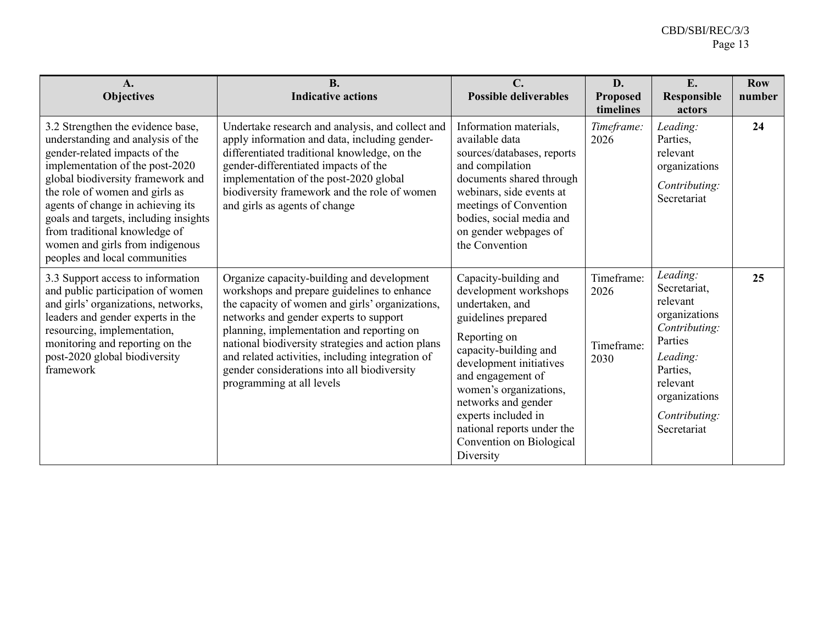| $A_{\bullet}$<br><b>Objectives</b>                                                                                                                                                                                                                                                                                                                                                                   | <b>B.</b><br><b>Indicative actions</b>                                                                                                                                                                                                                                                                                                                                                                                   | $\mathbf{C}$ .<br><b>Possible deliverables</b>                                                                                                                                                                                                                                                                                   | D.<br><b>Proposed</b><br>timelines       | E.<br><b>Responsible</b><br>actors                                                                                                                                     | <b>Row</b><br>number |
|------------------------------------------------------------------------------------------------------------------------------------------------------------------------------------------------------------------------------------------------------------------------------------------------------------------------------------------------------------------------------------------------------|--------------------------------------------------------------------------------------------------------------------------------------------------------------------------------------------------------------------------------------------------------------------------------------------------------------------------------------------------------------------------------------------------------------------------|----------------------------------------------------------------------------------------------------------------------------------------------------------------------------------------------------------------------------------------------------------------------------------------------------------------------------------|------------------------------------------|------------------------------------------------------------------------------------------------------------------------------------------------------------------------|----------------------|
| 3.2 Strengthen the evidence base,<br>understanding and analysis of the<br>gender-related impacts of the<br>implementation of the post-2020<br>global biodiversity framework and<br>the role of women and girls as<br>agents of change in achieving its<br>goals and targets, including insights<br>from traditional knowledge of<br>women and girls from indigenous<br>peoples and local communities | Undertake research and analysis, and collect and<br>apply information and data, including gender-<br>differentiated traditional knowledge, on the<br>gender-differentiated impacts of the<br>implementation of the post-2020 global<br>biodiversity framework and the role of women<br>and girls as agents of change                                                                                                     | Information materials,<br>available data<br>sources/databases, reports<br>and compilation<br>documents shared through<br>webinars, side events at<br>meetings of Convention<br>bodies, social media and<br>on gender webpages of<br>the Convention                                                                               | Timeframe:<br>2026                       | Leading:<br>Parties,<br>relevant<br>organizations<br>Contributing:<br>Secretariat                                                                                      | 24                   |
| 3.3 Support access to information<br>and public participation of women<br>and girls' organizations, networks,<br>leaders and gender experts in the<br>resourcing, implementation,<br>monitoring and reporting on the<br>post-2020 global biodiversity<br>framework                                                                                                                                   | Organize capacity-building and development<br>workshops and prepare guidelines to enhance<br>the capacity of women and girls' organizations,<br>networks and gender experts to support<br>planning, implementation and reporting on<br>national biodiversity strategies and action plans<br>and related activities, including integration of<br>gender considerations into all biodiversity<br>programming at all levels | Capacity-building and<br>development workshops<br>undertaken, and<br>guidelines prepared<br>Reporting on<br>capacity-building and<br>development initiatives<br>and engagement of<br>women's organizations,<br>networks and gender<br>experts included in<br>national reports under the<br>Convention on Biological<br>Diversity | Timeframe:<br>2026<br>Timeframe:<br>2030 | Leading:<br>Secretariat,<br>relevant<br>organizations<br>Contributing:<br>Parties<br>Leading:<br>Parties,<br>relevant<br>organizations<br>Contributing:<br>Secretariat | 25                   |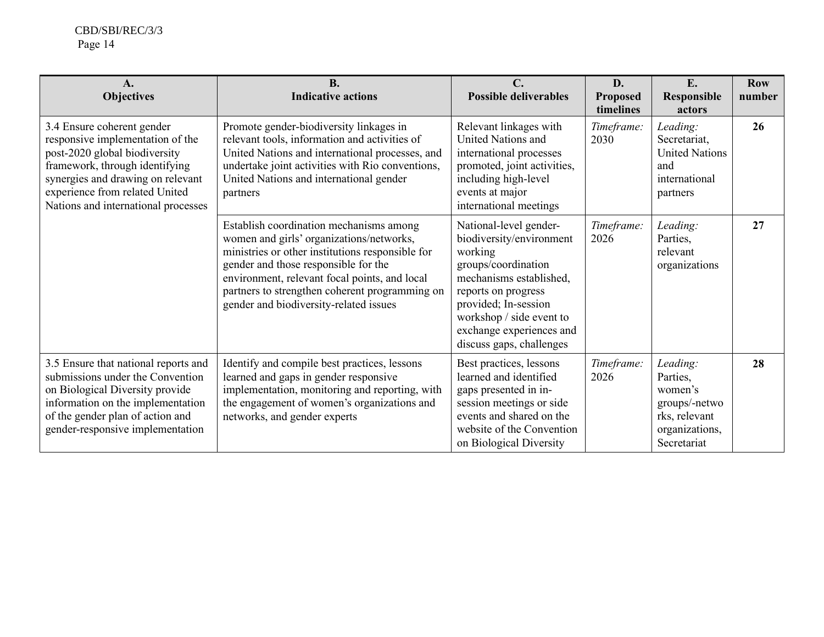| $\mathbf{A}$ .<br><b>Objectives</b>                                                                                                                                                                                                             | <b>B.</b><br><b>Indicative actions</b>                                                                                                                                                                                                                                                                                       | $\mathbf{C}$ .<br><b>Possible deliverables</b>                                                                                                                                                                                                     | D.<br><b>Proposed</b><br>timelines | E.<br><b>Responsible</b><br>actors                                                                 | <b>Row</b><br>number |
|-------------------------------------------------------------------------------------------------------------------------------------------------------------------------------------------------------------------------------------------------|------------------------------------------------------------------------------------------------------------------------------------------------------------------------------------------------------------------------------------------------------------------------------------------------------------------------------|----------------------------------------------------------------------------------------------------------------------------------------------------------------------------------------------------------------------------------------------------|------------------------------------|----------------------------------------------------------------------------------------------------|----------------------|
| 3.4 Ensure coherent gender<br>responsive implementation of the<br>post-2020 global biodiversity<br>framework, through identifying<br>synergies and drawing on relevant<br>experience from related United<br>Nations and international processes | Promote gender-biodiversity linkages in<br>relevant tools, information and activities of<br>United Nations and international processes, and<br>undertake joint activities with Rio conventions,<br>United Nations and international gender<br>partners                                                                       | Relevant linkages with<br>United Nations and<br>international processes<br>promoted, joint activities,<br>including high-level<br>events at major<br>international meetings                                                                        | Timeframe:<br>2030                 | Leading:<br>Secretariat,<br><b>United Nations</b><br>and<br>international<br>partners              | 26                   |
|                                                                                                                                                                                                                                                 | Establish coordination mechanisms among<br>women and girls' organizations/networks,<br>ministries or other institutions responsible for<br>gender and those responsible for the<br>environment, relevant focal points, and local<br>partners to strengthen coherent programming on<br>gender and biodiversity-related issues | National-level gender-<br>biodiversity/environment<br>working<br>groups/coordination<br>mechanisms established,<br>reports on progress<br>provided; In-session<br>workshop / side event to<br>exchange experiences and<br>discuss gaps, challenges | Timeframe:<br>2026                 | Leading:<br>Parties,<br>relevant<br>organizations                                                  | 27                   |
| 3.5 Ensure that national reports and<br>submissions under the Convention<br>on Biological Diversity provide<br>information on the implementation<br>of the gender plan of action and<br>gender-responsive implementation                        | Identify and compile best practices, lessons<br>learned and gaps in gender responsive<br>implementation, monitoring and reporting, with<br>the engagement of women's organizations and<br>networks, and gender experts                                                                                                       | Best practices, lessons<br>learned and identified<br>gaps presented in in-<br>session meetings or side<br>events and shared on the<br>website of the Convention<br>on Biological Diversity                                                         | Timeframe:<br>2026                 | Leading:<br>Parties,<br>women's<br>groups/-netwo<br>rks, relevant<br>organizations,<br>Secretariat | 28                   |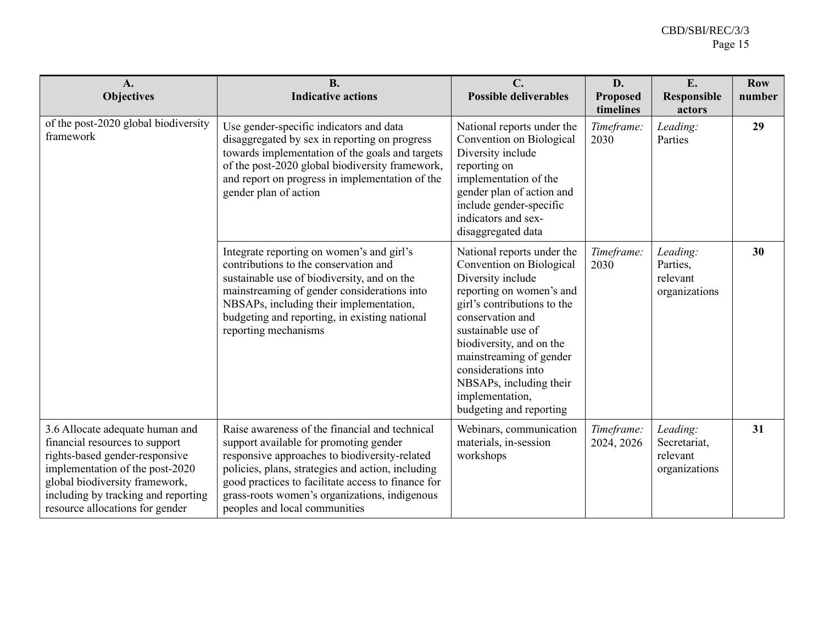| A.<br><b>Objectives</b>                                                                                                                                                                                                                            | <b>B.</b><br><b>Indicative actions</b>                                                                                                                                                                                                                                                                                                 | C.<br><b>Possible deliverables</b>                                                                                                                                                                                                                                                                                                      | D.<br>Proposed<br>timelines | E.<br>Responsible<br>actors                           | <b>Row</b><br>number |
|----------------------------------------------------------------------------------------------------------------------------------------------------------------------------------------------------------------------------------------------------|----------------------------------------------------------------------------------------------------------------------------------------------------------------------------------------------------------------------------------------------------------------------------------------------------------------------------------------|-----------------------------------------------------------------------------------------------------------------------------------------------------------------------------------------------------------------------------------------------------------------------------------------------------------------------------------------|-----------------------------|-------------------------------------------------------|----------------------|
| of the post-2020 global biodiversity<br>framework                                                                                                                                                                                                  | Use gender-specific indicators and data<br>disaggregated by sex in reporting on progress<br>towards implementation of the goals and targets<br>of the post-2020 global biodiversity framework,<br>and report on progress in implementation of the<br>gender plan of action                                                             | National reports under the<br>Convention on Biological<br>Diversity include<br>reporting on<br>implementation of the<br>gender plan of action and<br>include gender-specific<br>indicators and sex-<br>disaggregated data                                                                                                               | Timeframe:<br>2030          | Leading:<br>Parties                                   | 29                   |
|                                                                                                                                                                                                                                                    | Integrate reporting on women's and girl's<br>contributions to the conservation and<br>sustainable use of biodiversity, and on the<br>mainstreaming of gender considerations into<br>NBSAPs, including their implementation,<br>budgeting and reporting, in existing national<br>reporting mechanisms                                   | National reports under the<br>Convention on Biological<br>Diversity include<br>reporting on women's and<br>girl's contributions to the<br>conservation and<br>sustainable use of<br>biodiversity, and on the<br>mainstreaming of gender<br>considerations into<br>NBSAPs, including their<br>implementation,<br>budgeting and reporting | Timeframe:<br>2030          | Leading:<br>Parties,<br>relevant<br>organizations     | 30                   |
| 3.6 Allocate adequate human and<br>financial resources to support<br>rights-based gender-responsive<br>implementation of the post-2020<br>global biodiversity framework,<br>including by tracking and reporting<br>resource allocations for gender | Raise awareness of the financial and technical<br>support available for promoting gender<br>responsive approaches to biodiversity-related<br>policies, plans, strategies and action, including<br>good practices to facilitate access to finance for<br>grass-roots women's organizations, indigenous<br>peoples and local communities | Webinars, communication<br>materials, in-session<br>workshops                                                                                                                                                                                                                                                                           | Timeframe:<br>2024, 2026    | Leading:<br>Secretariat,<br>relevant<br>organizations | 31                   |